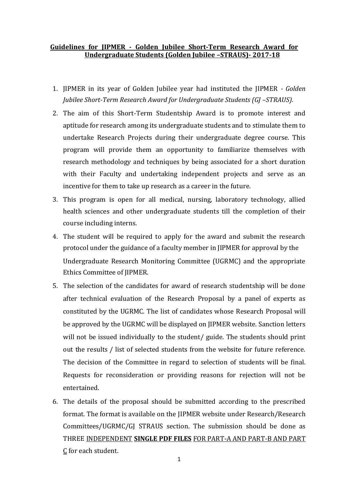## **Guidelines for JIPMER - Golden Jubilee Short-Term Research Award for Undergraduate Students (Golden Jubilee –STRAUS)- 2017-18**

- 1. JIPMER in its year of Golden Jubilee year had instituted the JIPMER *- Golden Jubilee Short-Term Research Award for Undergraduate Students (GJ -STRAUS).*
- 2. The aim of this Short-Term Studentship Award is to promote interest and aptitude for research among its undergraduate students and to stimulate them to undertake Research Projects during their undergraduate degree course. This program will provide them an opportunity to familiarize themselves with research methodology and techniques by being associated for a short duration with their Faculty and undertaking independent projects and serve as an incentive for them to take up research as a career in the future.
- 3. This program is open for all medical, nursing, laboratory technology, allied health sciences and other undergraduate students till the completion of their course including interns.
- 4. The student will be required to apply for the award and submit the research protocol under the guidance of a faculty member in JIPMER for approval by the Undergraduate Research Monitoring Committee (UGRMC) and the appropriate Ethics Committee of JIPMER.
- 5. The selection of the candidates for award of research studentship will be done after technical evaluation of the Research Proposal by a panel of experts as constituted by the UGRMC. The list of candidates whose Research Proposal will be approved by the UGRMC will be displayed on JIPMER website. Sanction letters will not be issued individually to the student/ guide. The students should print out the results / list of selected students from the website for future reference. The decision of the Committee in regard to selection of students will be final. Requests for reconsideration or providing reasons for rejection will not be entertained.
- 6. The details of the proposal should be submitted according to the prescribed format. The format is available on the JIPMER website under Research/Research Committees/UGRMC/GJ STRAUS section. The submission should be done as THREE INDEPENDENT **SINGLE PDF FILES** FOR PART-A AND PART-B AND PART C for each student.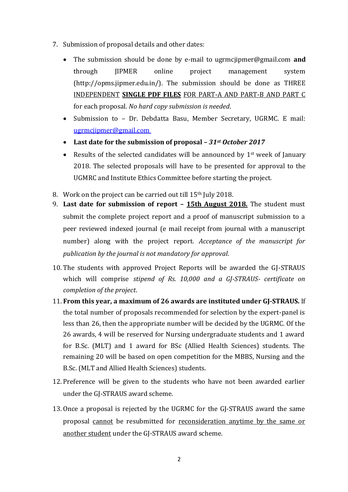- 7. Submission of proposal details and other dates:
	- The submission should be done by e-mail to ugrmcjipmer@gmail.com **and** through JIPMER online project management system (http://opms.jipmer.edu.in/). The submission should be done as THREE INDEPENDENT **SINGLE PDF FILES** FOR PART-A AND PART-B AND PART C for each proposal. *No hard copy submission is needed*.
	- Submission to Dr. Debdatta Basu, Member Secretary, UGRMC. E mail: ugrmcjipmer@gmail.com
	- **Last date for the submission of proposal –** *31st October 2017*
	- Results of the selected candidates will be announced by  $1<sup>st</sup>$  week of January 2018. The selected proposals will have to be presented for approval to the UGMRC and Institute Ethics Committee before starting the project.
- 8. Work on the project can be carried out till 15<sup>th</sup> July 2018.
- 9. **Last date for submission of report – 15th August 2018.** The student must submit the complete project report and a proof of manuscript submission to a peer reviewed indexed journal (e mail receipt from journal with a manuscript number) along with the project report. *Acceptance of the manuscript for publication by the journal is not mandatory for approval*.
- 10. The students with approved Project Reports will be awarded the GJ-STRAUS which will comprise *stipend of Rs. 10,000 and a GJ-STRAUS- certificate on completion of the project*.
- 11. **From this year, a maximum of 26 awards are instituted under GJ-STRAUS.** If the total number of proposals recommended for selection by the expert-panel is less than 26, then the appropriate number will be decided by the UGRMC. Of the 26 awards, 4 will be reserved for Nursing undergraduate students and 1 award for B.Sc. (MLT) and 1 award for BSc (Allied Health Sciences) students. The remaining 20 will be based on open competition for the MBBS, Nursing and the B.Sc. (MLT and Allied Health Sciences) students.
- 12. Preference will be given to the students who have not been awarded earlier under the GJ-STRAUS award scheme.
- 13. Once a proposal is rejected by the UGRMC for the GJ-STRAUS award the same proposal cannot be resubmitted for reconsideration anytime by the same or another student under the GJ-STRAUS award scheme.